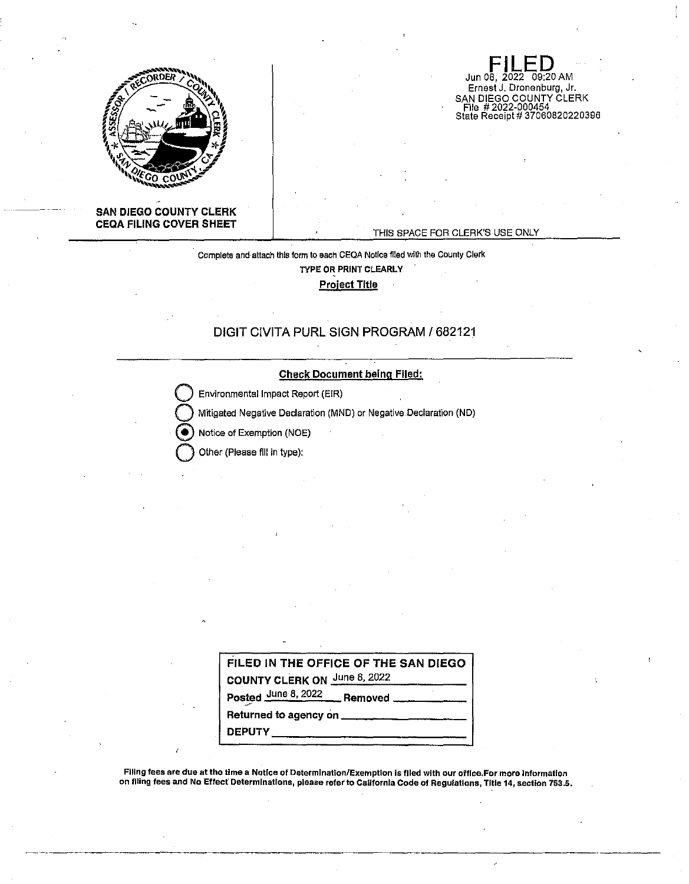

#### **SAN DIEGO COUNTY CLERK CEQA FILING COVER SHEET**

THIS SPACE FOR CLERK'S USE ONLY

**FILED**<br>Jun 08, 2022 09:20 AM Ernest J. Dronenburg, Jr.

SAN DIEGO COUNTY CLERK File # 2022-000454 State Receipt# 37060820220396

Complete and attach this form to each CEQA Notice filed with the County Clerk **TYPE OR PRINT CLEARLY Project Title** 

## **DIGIT CIVITA PURL SIGN PROGRAM/ 682121**

#### **Check Document being Filed:**

**Q** Environmental Impact Report (EIR)

**Q** Mttigated Negative Declaration (MND) or Negative.Declaration (ND)

Notice of Exemption (NOE)

**Q** Other (Please fill in type):

| FILED IN THE OFFICE OF THE SAN DIEGO<br><b>COUNTY CLERK ON June 8, 2022</b> |
|-----------------------------------------------------------------------------|
| Posted June 8, 2022 Removed                                                 |
|                                                                             |
| <b>DEPUTY</b>                                                               |

Filing fees are due at the time a Notice of Determination/Exemption is flied with our office.For more Information on filing fees and No Effect' Determinations, please refer to California Code of Regulations, Title 14, section 753.5.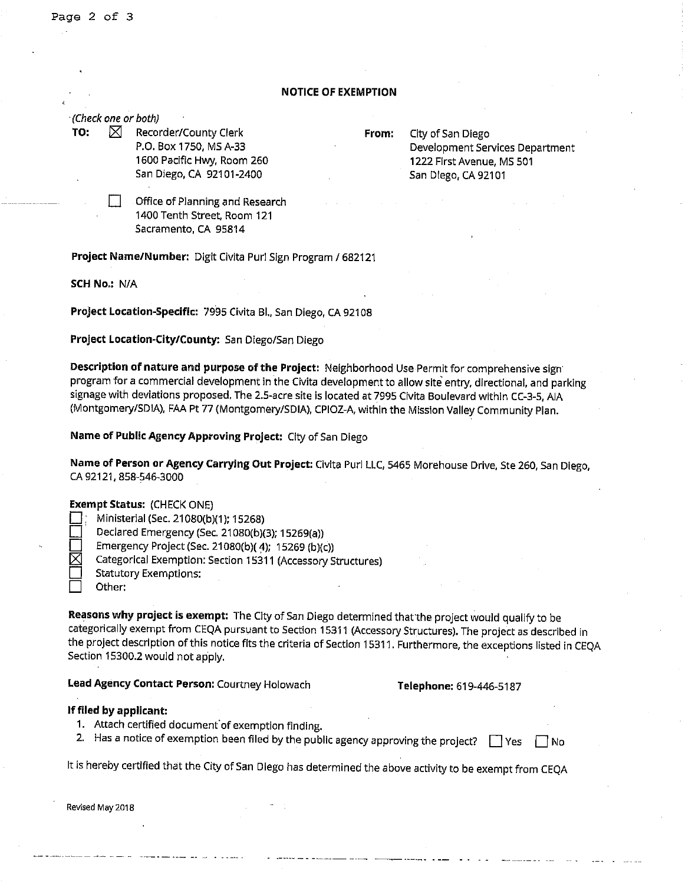#### **NOTICE OF EXEMPTION**

· (Check one or both)

**TO:**  $\boxtimes$  Recorder/County Clerk **From:** City of San Diego P.O. Box 1750, MS A-33 1600 Pacific Hwy, Room 260 San Diego, CA 92101-2400

Development Services Department 1222 First Avenue, MS 501 San Diego, CA 92101

D Office of Planning and Research 1400 Tenth Street, Room 121 Sacramento, CA 95814

**Project Name/Number:** Digit Civita Purl Sign Program/ 682121

**SCH No.:** N/A

**Project Location-Specific:** 7995 Civita Bl., San Diego, CA 92108

**Project Location-City/County:** San Diego/San Diego

**Description of nature and purpose of the Project:** Neighborhood Use Permit for comprehensive sign· program for a commercial development in the Civita development to allow site entry, directional, and parking signage with deviations proposed, The 2.5-acre site is located at 7995 Civita Boulevard within CC-3-5, AIA (Montgomery/SDIA), FAA Pt 77 (Montgomery/SDIA), CPIOZ-A, within the Mission Valley Community Plan.

**Name of Public Agency Approving Project:** City of San Diego

**Name of Person or Agency carrying Out Project:** Clvita Purl LLC, 5465 Morehouse Drive, Ste 260, San Diego, CA 92121, 858-546-3000

#### **Exempt Status:** (CHECK ONE)

D: Ministerial (Sec. 21080(b)(1); 15268)

Declared Emergency (Sec. 21080(b)(3); 15269(a))

Emergency Project (Sec. 21080(b)( 4); 15269 (b)(c))

Categorical Exemption: Section 15311 (Accessory Structures)

Statutory Exemptions:

Other:

**Reasons why project is exempt:** The City of San Diego determined that'the project would qualify to be categorically exempt from CEQA pursuant to Section 15311 (Accessory Structures). The project as described in the project description of this notice fits the criteria of Section 15311. Furthermore, the exceptions listed in CEQA Section 15300.2 would not apply.

**Lead Agency Contact Person:** Courtney Holowach **Telephone:** 619-446-5187

#### **If filed by applicant:**

- 1. Attach certified document of exemption finding.
- 2. Has a notice of exemption been filed by the public agency approving the project?  $\Box$  Yes  $\Box$  No

It is hereby certified that the City of San Diego has determined the above activity to be exempt from CEQA

**Revised May 2018**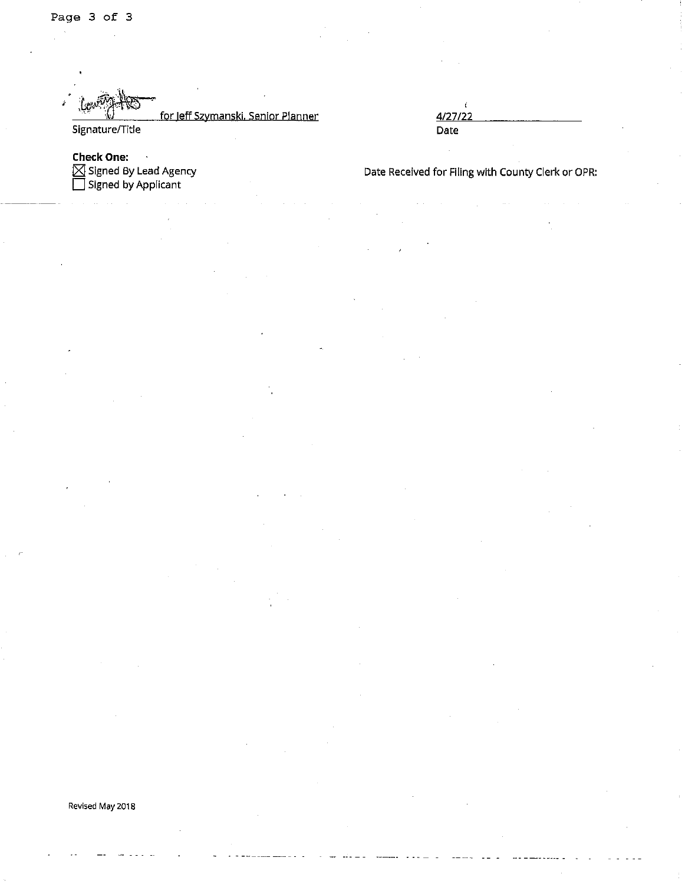# for Jeff Szymanski, Senior Planner Signature/Title

4/27/22 Date

**Check One:** Signed By Lead Agency<br>Signed by Lead Agency

Date Received for Filing with County Clerk or OPR:

### Revised May 2018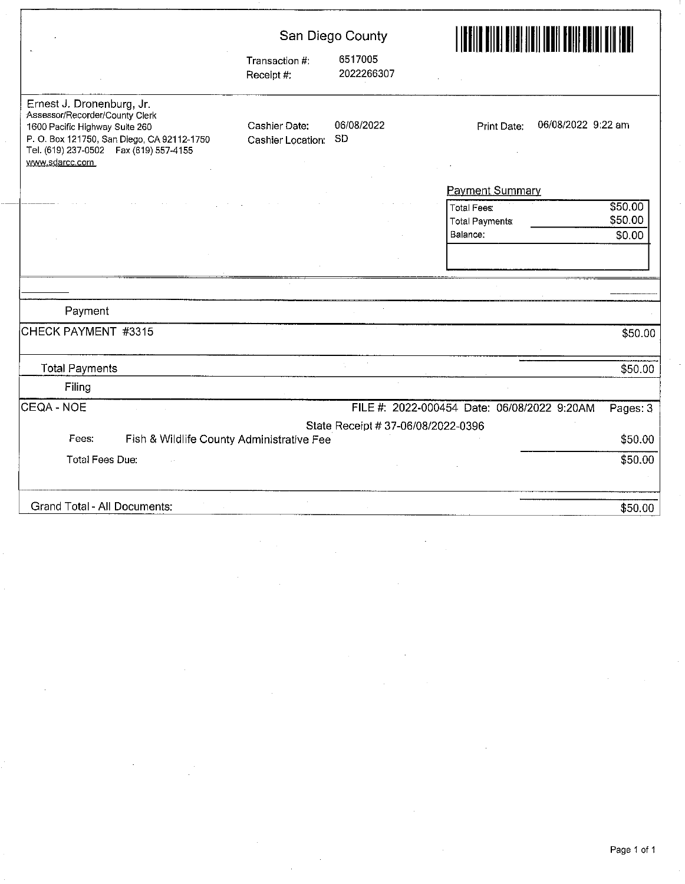|                                                                                                                                                                                                          | San Diego County                   |                                    |                                                                                         |  |
|----------------------------------------------------------------------------------------------------------------------------------------------------------------------------------------------------------|------------------------------------|------------------------------------|-----------------------------------------------------------------------------------------|--|
|                                                                                                                                                                                                          | Transaction #:<br>Receipt #:       | 6517005<br>2022266307              |                                                                                         |  |
| Ernest J. Dronenburg, Jr.<br>Assessor/Recorder/County Clerk<br>1600 Pacific Highway Suite 260<br>P. O. Box 121750, San Diego, CA 92112-1750<br>Tel. (619) 237-0502  Fax (619) 557-4155<br>www.sdarcc.com | Cashier Date:<br>Cashier Location: | 06/08/2022<br><b>SD</b>            | 06/08/2022 9:22 am<br>Print Date:                                                       |  |
|                                                                                                                                                                                                          |                                    |                                    | <b>Payment Summary</b>                                                                  |  |
|                                                                                                                                                                                                          |                                    |                                    | \$50.00<br><b>Total Fees:</b><br>\$50.00<br><b>Total Payments</b><br>Balance:<br>\$0.00 |  |
|                                                                                                                                                                                                          |                                    |                                    |                                                                                         |  |
|                                                                                                                                                                                                          |                                    |                                    |                                                                                         |  |
| Payment                                                                                                                                                                                                  |                                    |                                    |                                                                                         |  |
| CHECK PAYMENT #3315                                                                                                                                                                                      |                                    |                                    | \$50.00                                                                                 |  |
| <b>Total Payments</b>                                                                                                                                                                                    |                                    |                                    | \$50.00                                                                                 |  |
| Filing                                                                                                                                                                                                   |                                    |                                    |                                                                                         |  |
| CEQA - NOE                                                                                                                                                                                               |                                    |                                    | FILE #: 2022-000454 Date: 06/08/2022 9:20AM<br>Pages: 3                                 |  |
|                                                                                                                                                                                                          |                                    | State Receipt # 37-06/08/2022-0396 |                                                                                         |  |
| Fees:<br>Fish & Wildlife County Administrative Fee                                                                                                                                                       |                                    |                                    | \$50.00                                                                                 |  |
| <b>Total Fees Due:</b>                                                                                                                                                                                   |                                    |                                    | \$50.00                                                                                 |  |
| Grand Total - All Documents:                                                                                                                                                                             |                                    |                                    | \$50.00                                                                                 |  |

 $\frac{1}{\sqrt{2}}$ 

 $\ddot{\phantom{a}}$ 

 $\sim$ 

 $\frac{1}{2}$ 

 $\mathcal{L}_{\mathcal{L}}$